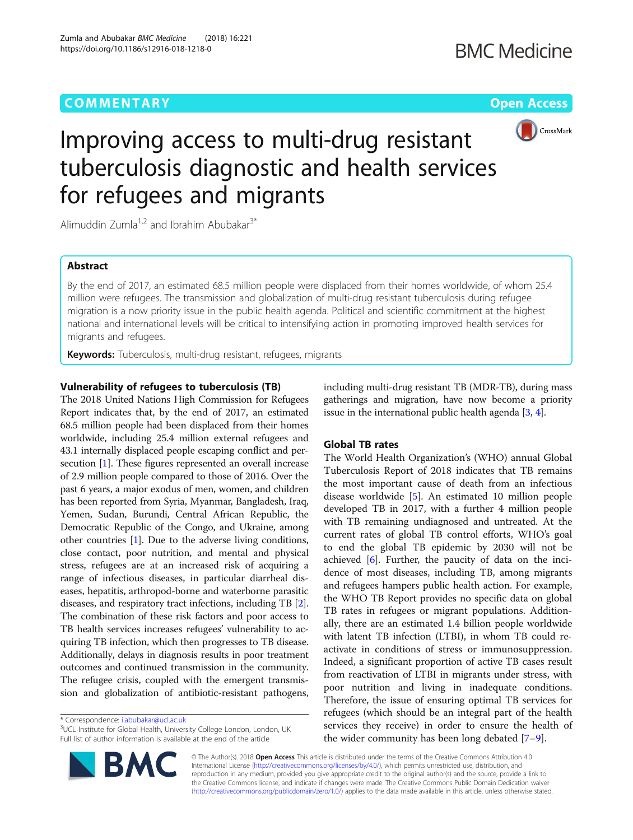# **COMMENTARY COMMENTARY Open Access**



# Improving access to multi-drug resistant tuberculosis diagnostic and health services for refugees and migrants

Alimuddin Zumla<sup>1,2</sup> and Ibrahim Abubakar<sup>3\*</sup>

# Abstract

By the end of 2017, an estimated 68.5 million people were displaced from their homes worldwide, of whom 25.4 million were refugees. The transmission and globalization of multi-drug resistant tuberculosis during refugee migration is a now priority issue in the public health agenda. Political and scientific commitment at the highest national and international levels will be critical to intensifying action in promoting improved health services for migrants and refugees.

**Keywords:** Tuberculosis, multi-drug resistant, refugees, migrants

# Vulnerability of refugees to tuberculosis (TB)

The 2018 United Nations High Commission for Refugees Report indicates that, by the end of 2017, an estimated 68.5 million people had been displaced from their homes worldwide, including 25.4 million external refugees and 43.1 internally displaced people escaping conflict and persecution [\[1](#page-2-0)]. These figures represented an overall increase of 2.9 million people compared to those of 2016. Over the past 6 years, a major exodus of men, women, and children has been reported from Syria, Myanmar, Bangladesh, Iraq, Yemen, Sudan, Burundi, Central African Republic, the Democratic Republic of the Congo, and Ukraine, among other countries [\[1](#page-2-0)]. Due to the adverse living conditions, close contact, poor nutrition, and mental and physical stress, refugees are at an increased risk of acquiring a range of infectious diseases, in particular diarrheal diseases, hepatitis, arthropod-borne and waterborne parasitic diseases, and respiratory tract infections, including TB [[2](#page-2-0)]. The combination of these risk factors and poor access to TB health services increases refugees' vulnerability to acquiring TB infection, which then progresses to TB disease. Additionally, delays in diagnosis results in poor treatment outcomes and continued transmission in the community. The refugee crisis, coupled with the emergent transmission and globalization of antibiotic-resistant pathogens,

\* Correspondence: [i.abubakar@ucl.ac.uk](mailto:i.abubakar@ucl.ac.uk) <sup>3</sup>

**BM** 

<sup>3</sup>UCL Institute for Global Health, University College London, London, UK Full list of author information is available at the end of the article



# Global TB rates

The World Health Organization's (WHO) annual Global Tuberculosis Report of 2018 indicates that TB remains the most important cause of death from an infectious disease worldwide [\[5](#page-2-0)]. An estimated 10 million people developed TB in 2017, with a further 4 million people with TB remaining undiagnosed and untreated. At the current rates of global TB control efforts, WHO's goal to end the global TB epidemic by 2030 will not be achieved [\[6\]](#page-2-0). Further, the paucity of data on the incidence of most diseases, including TB, among migrants and refugees hampers public health action. For example, the WHO TB Report provides no specific data on global TB rates in refugees or migrant populations. Additionally, there are an estimated 1.4 billion people worldwide with latent TB infection (LTBI), in whom TB could reactivate in conditions of stress or immunosuppression. Indeed, a significant proportion of active TB cases result from reactivation of LTBI in migrants under stress, with poor nutrition and living in inadequate conditions. Therefore, the issue of ensuring optimal TB services for refugees (which should be an integral part of the health services they receive) in order to ensure the health of the wider community has been long debated [\[7](#page-2-0)–[9](#page-2-0)].

© The Author(s). 2018 Open Access This article is distributed under the terms of the Creative Commons Attribution 4.0 International License [\(http://creativecommons.org/licenses/by/4.0/](http://creativecommons.org/licenses/by/4.0/)), which permits unrestricted use, distribution, and reproduction in any medium, provided you give appropriate credit to the original author(s) and the source, provide a link to the Creative Commons license, and indicate if changes were made. The Creative Commons Public Domain Dedication waiver [\(http://creativecommons.org/publicdomain/zero/1.0/](http://creativecommons.org/publicdomain/zero/1.0/)) applies to the data made available in this article, unless otherwise stated.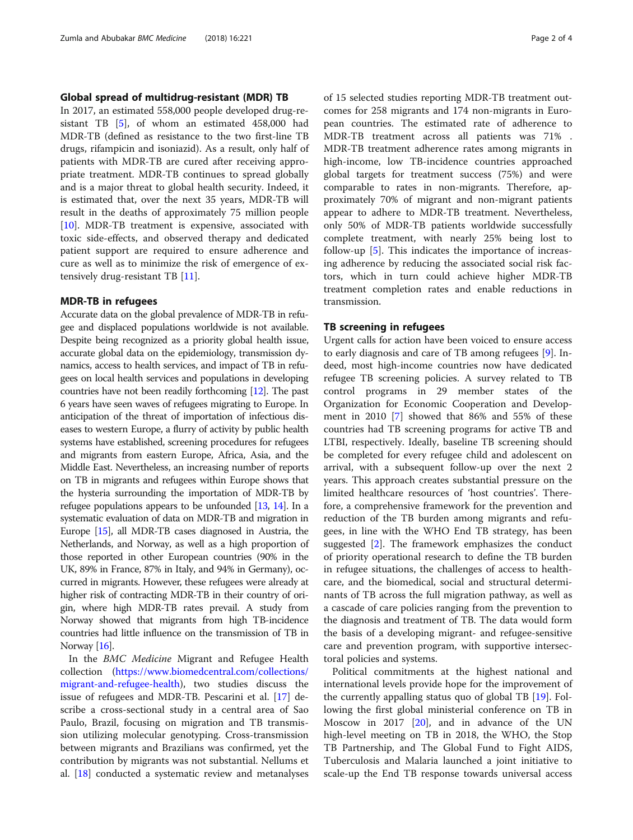### Global spread of multidrug-resistant (MDR) TB

In 2017, an estimated 558,000 people developed drug-resistant TB [[5\]](#page-2-0), of whom an estimated 458,000 had MDR-TB (defined as resistance to the two first-line TB drugs, rifampicin and isoniazid). As a result, only half of patients with MDR-TB are cured after receiving appropriate treatment. MDR-TB continues to spread globally and is a major threat to global health security. Indeed, it is estimated that, over the next 35 years, MDR-TB will result in the deaths of approximately 75 million people [[10\]](#page-2-0). MDR-TB treatment is expensive, associated with toxic side-effects, and observed therapy and dedicated patient support are required to ensure adherence and cure as well as to minimize the risk of emergence of extensively drug-resistant TB [\[11\]](#page-2-0).

#### MDR-TB in refugees

Accurate data on the global prevalence of MDR-TB in refugee and displaced populations worldwide is not available. Despite being recognized as a priority global health issue, accurate global data on the epidemiology, transmission dynamics, access to health services, and impact of TB in refugees on local health services and populations in developing countries have not been readily forthcoming [\[12\]](#page-2-0). The past 6 years have seen waves of refugees migrating to Europe. In anticipation of the threat of importation of infectious diseases to western Europe, a flurry of activity by public health systems have established, screening procedures for refugees and migrants from eastern Europe, Africa, Asia, and the Middle East. Nevertheless, an increasing number of reports on TB in migrants and refugees within Europe shows that the hysteria surrounding the importation of MDR-TB by refugee populations appears to be unfounded [\[13,](#page-2-0) [14\]](#page-2-0). In a systematic evaluation of data on MDR-TB and migration in Europe [\[15](#page-2-0)], all MDR-TB cases diagnosed in Austria, the Netherlands, and Norway, as well as a high proportion of those reported in other European countries (90% in the UK, 89% in France, 87% in Italy, and 94% in Germany), occurred in migrants. However, these refugees were already at higher risk of contracting MDR-TB in their country of origin, where high MDR-TB rates prevail. A study from Norway showed that migrants from high TB-incidence countries had little influence on the transmission of TB in Norway [\[16\]](#page-2-0).

In the BMC Medicine Migrant and Refugee Health collection ([https://www.biomedcentral.com/collections/](https://www.biomedcentral.com/collections/migrant-and-refugee-health) [migrant-and-refugee-health](https://www.biomedcentral.com/collections/migrant-and-refugee-health)), two studies discuss the issue of refugees and MDR-TB. Pescarini et al. [[17](#page-2-0)] describe a cross-sectional study in a central area of Sao Paulo, Brazil, focusing on migration and TB transmission utilizing molecular genotyping. Cross-transmission between migrants and Brazilians was confirmed, yet the contribution by migrants was not substantial. Nellums et al. [\[18\]](#page-2-0) conducted a systematic review and metanalyses of 15 selected studies reporting MDR-TB treatment outcomes for 258 migrants and 174 non-migrants in European countries. The estimated rate of adherence to MDR-TB treatment across all patients was 71% . MDR-TB treatment adherence rates among migrants in high-income, low TB-incidence countries approached global targets for treatment success (75%) and were comparable to rates in non-migrants. Therefore, approximately 70% of migrant and non-migrant patients appear to adhere to MDR-TB treatment. Nevertheless, only 50% of MDR-TB patients worldwide successfully complete treatment, with nearly 25% being lost to follow-up [[5\]](#page-2-0). This indicates the importance of increasing adherence by reducing the associated social risk factors, which in turn could achieve higher MDR-TB treatment completion rates and enable reductions in transmission.

#### TB screening in refugees

Urgent calls for action have been voiced to ensure access to early diagnosis and care of TB among refugees [\[9](#page-2-0)]. Indeed, most high-income countries now have dedicated refugee TB screening policies. A survey related to TB control programs in 29 member states of the Organization for Economic Cooperation and Development in 2010 [[7](#page-2-0)] showed that 86% and 55% of these countries had TB screening programs for active TB and LTBI, respectively. Ideally, baseline TB screening should be completed for every refugee child and adolescent on arrival, with a subsequent follow-up over the next 2 years. This approach creates substantial pressure on the limited healthcare resources of 'host countries'. Therefore, a comprehensive framework for the prevention and reduction of the TB burden among migrants and refugees, in line with the WHO End TB strategy, has been suggested [\[2\]](#page-2-0). The framework emphasizes the conduct of priority operational research to define the TB burden in refugee situations, the challenges of access to healthcare, and the biomedical, social and structural determinants of TB across the full migration pathway, as well as a cascade of care policies ranging from the prevention to the diagnosis and treatment of TB. The data would form the basis of a developing migrant- and refugee-sensitive care and prevention program, with supportive intersectoral policies and systems.

Political commitments at the highest national and international levels provide hope for the improvement of the currently appalling status quo of global TB [[19\]](#page-2-0). Following the first global ministerial conference on TB in Moscow in 2017 [[20](#page-3-0)], and in advance of the UN high-level meeting on TB in 2018, the WHO, the Stop TB Partnership, and The Global Fund to Fight AIDS, Tuberculosis and Malaria launched a joint initiative to scale-up the End TB response towards universal access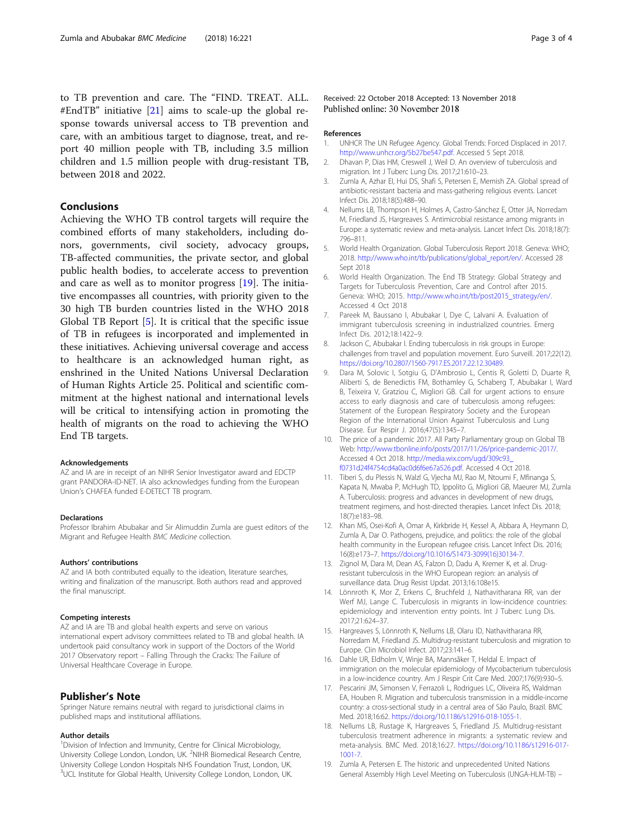<span id="page-2-0"></span>to TB prevention and care. The "FIND. TREAT. ALL. #EndTB" initiative [\[21\]](#page-3-0) aims to scale-up the global response towards universal access to TB prevention and care, with an ambitious target to diagnose, treat, and report 40 million people with TB, including 3.5 million children and 1.5 million people with drug-resistant TB, between 2018 and 2022.

## Conclusions

Achieving the WHO TB control targets will require the combined efforts of many stakeholders, including donors, governments, civil society, advocacy groups, TB-affected communities, the private sector, and global public health bodies, to accelerate access to prevention and care as well as to monitor progress [19]. The initiative encompasses all countries, with priority given to the 30 high TB burden countries listed in the WHO 2018 Global TB Report [5]. It is critical that the specific issue of TB in refugees is incorporated and implemented in these initiatives. Achieving universal coverage and access to healthcare is an acknowledged human right, as enshrined in the United Nations Universal Declaration of Human Rights Article 25. Political and scientific commitment at the highest national and international levels will be critical to intensifying action in promoting the health of migrants on the road to achieving the WHO End TB targets.

#### Acknowledgements

AZ and IA are in receipt of an NIHR Senior Investigator award and EDCTP grant PANDORA-ID-NET. IA also acknowledges funding from the European Union's CHAFEA funded E-DETECT TB program.

#### Declarations

Professor Ibrahim Abubakar and Sir Alimuddin Zumla are guest editors of the Migrant and Refugee Health BMC Medicine collection.

#### Authors' contributions

AZ and IA both contributed equally to the ideation, literature searches, writing and finalization of the manuscript. Both authors read and approved the final manuscript.

#### Competing interests

AZ and IA are TB and global health experts and serve on various international expert advisory committees related to TB and global health. IA undertook paid consultancy work in support of the Doctors of the World 2017 Observatory report – Falling Through the Cracks: The Failure of Universal Healthcare Coverage in Europe.

#### Publisher's Note

Springer Nature remains neutral with regard to jurisdictional claims in published maps and institutional affiliations.

#### Author details

<sup>1</sup> Division of Infection and Immunity, Centre for Clinical Microbiology, University College London, London, UK. <sup>2</sup>NIHR Biomedical Research Centre, University College London Hospitals NHS Foundation Trust, London, UK. <sup>3</sup>UCL Institute for Global Health, University College London, London, UK.

Received: 22 October 2018 Accepted: 13 November 2018 Published online: 30 November 2018

#### References

- 1. UNHCR The UN Refugee Agency. Global Trends: Forced Displaced in 2017. [http://www.unhcr.org/5b27be547.pdf.](http://www.unhcr.org/5b27be547.pdf) Accessed 5 Sept 2018.
- 2. Dhavan P, Dias HM, Creswell J, Weil D. An overview of tuberculosis and migration. Int J Tuberc Lung Dis. 2017;21:610-23.
- 3. Zumla A, Azhar EI, Hui DS, Shafi S, Petersen E, Memish ZA. Global spread of antibiotic-resistant bacteria and mass-gathering religious events. Lancet Infect Dis. 2018;18(5):488–90.
- 4. Nellums LB, Thompson H, Holmes A, Castro-Sánchez E, Otter JA, Norredam M, Friedland JS, Hargreaves S. Antimicrobial resistance among migrants in Europe: a systematic review and meta-analysis. Lancet Infect Dis. 2018;18(7): 796–811.
- 5. World Health Organization. Global Tuberculosis Report 2018. Geneva: WHO; 2018. [http://www.who.int/tb/publications/global\\_report/en/](http://www.who.int/tb/publications/global_report/en/). Accessed 28 Sept 2018
- 6. World Health Organization. The End TB Strategy: Global Strategy and Targets for Tuberculosis Prevention, Care and Control after 2015. Geneva: WHO; 2015. [http://www.who.int/tb/post2015\\_strategy/en/](http://www.who.int/tb/post2015_strategy/en/). Accessed 4 Oct 2018
- 7. Pareek M, Baussano I, Abubakar I, Dye C, Lalvani A. Evaluation of immigrant tuberculosis screening in industrialized countries. Emerg Infect Dis. 2012;18:1422–9.
- 8. Jackson C, Abubakar I. Ending tuberculosis in risk groups in Europe: challenges from travel and population movement. Euro Surveill. 2017;22(12). <https://doi.org/10.2807/1560-7917.ES.2017.22.12.30489>.
- Dara M, Solovic I, Sotgiu G, D'Ambrosio L, Centis R, Goletti D, Duarte R, Aliberti S, de Benedictis FM, Bothamley G, Schaberg T, Abubakar I, Ward B, Teixeira V, Gratziou C, Migliori GB. Call for urgent actions to ensure access to early diagnosis and care of tuberculosis among refugees: Statement of the European Respiratory Society and the European Region of the International Union Against Tuberculosis and Lung Disease. Eur Respir J. 2016;47(5):1345–7.
- 10. The price of a pandemic 2017. All Party Parliamentary group on Global TB Web: [http://www.tbonline.info/posts/2017/11/26/price-pandemic-2017/.](http://www.tbonline.info/posts/2017/11/26/price-pandemic-2017/) Accessed 4 Oct 2018. [http://media.wix.com/ugd/309c93\\_](http://media.wix.com/ugd/309c93_f0731d24f4754cd4a0ac0d6f6e67a526.pdf) [f0731d24f4754cd4a0ac0d6f6e67a526.pdf](http://media.wix.com/ugd/309c93_f0731d24f4754cd4a0ac0d6f6e67a526.pdf). Accessed 4 Oct 2018.
- 11. Tiberi S, du Plessis N, Walzl G, Vjecha MJ, Rao M, Ntoumi F, Mfinanga S, Kapata N, Mwaba P, McHugh TD, Ippolito G, Migliori GB, Maeurer MJ, Zumla A. Tuberculosis: progress and advances in development of new drugs, treatment regimens, and host-directed therapies. Lancet Infect Dis. 2018; 18(7):e183–98.
- 12. Khan MS, Osei-Kofi A, Omar A, Kirkbride H, Kessel A, Abbara A, Heymann D, Zumla A, Dar O. Pathogens, prejudice, and politics: the role of the global health community in the European refugee crisis. Lancet Infect Dis. 2016; 16(8):e173–7. [https://doi.org/10.1016/S1473-3099\(16\)30134-7.](https://doi.org/10.1016/S1473-3099(16)30134-7)
- 13. Zignol M, Dara M, Dean AS, Falzon D, Dadu A, Kremer K, et al. Drugresistant tuberculosis in the WHO European region: an analysis of surveillance data. Drug Resist Updat. 2013;16:108e15.
- 14. Lönnroth K, Mor Z, Erkens C, Bruchfeld J, Nathavitharana RR, van der Werf MJ, Lange C. Tuberculosis in migrants in low-incidence countries: epidemiology and intervention entry points. Int J Tuberc Lung Dis. 2017;21:624–37.
- 15. Hargreaves S, Lönnroth K, Nellums LB, Olaru ID, Nathavitharana RR, Norredam M, Friedland JS. Multidrug-resistant tuberculosis and migration to Europe. Clin Microbiol Infect. 2017;23:141–6.
- 16. Dahle UR, Eldholm V, Winje BA, Mannsåker T, Heldal E. Impact of immigration on the molecular epidemiology of Mycobacterium tuberculosis in a low-incidence country. Am J Respir Crit Care Med. 2007;176(9):930–5.
- 17. Pescarini JM, Simonsen V, Ferrazoli L, Rodrigues LC, Oliveira RS, Waldman EA, Houben R. Migration and tuberculosis transmission in a middle-income country: a cross-sectional study in a central area of São Paulo, Brazil. BMC Med. 2018;16:62. <https://doi.org/10.1186/s12916-018-1055-1>.
- 18. Nellums LB, Rustage K, Hargreaves S, Friedland JS. Multidrug-resistant tuberculosis treatment adherence in migrants: a systematic review and meta-analysis. BMC Med. 2018;16:27. [https://doi.org/10.1186/s12916-017-](https://doi.org/10.1186/s12916-017-1001-7) [1001-7](https://doi.org/10.1186/s12916-017-1001-7).
- 19. Zumla A, Petersen E. The historic and unprecedented United Nations General Assembly High Level Meeting on Tuberculosis (UNGA-HLM-TB) –